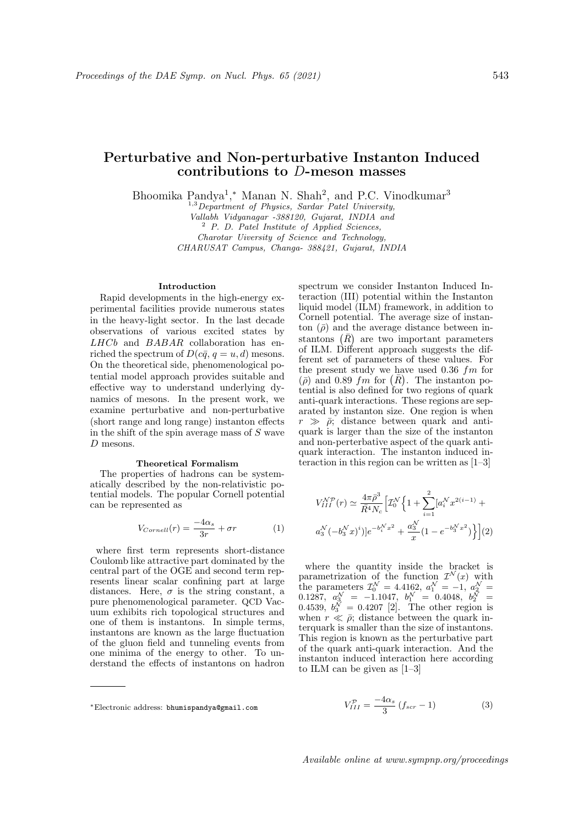# Perturbative and Non-perturbative Instanton Induced contributions to D-meson masses

Bhoomika Pandya<sup>1</sup>,\* Manan N. Shah<sup>2</sup>, and P.C. Vinodkumar<sup>3</sup>

 $1,3$  Department of Physics, Sardar Patel University,

Vallabh Vidyanagar -388120, Gujarat, INDIA and

<sup>2</sup> P. D. Patel Institute of Applied Sciences,

Charotar Uiversity of Science and Technology, CHARUSAT Campus, Changa- 388421, Gujarat, INDIA

## Introduction

Rapid developments in the high-energy experimental facilities provide numerous states in the heavy-light sector. In the last decade observations of various excited states by LHCb and BABAR collaboration has enriched the spectrum of  $D(c\bar{q}, q = u, d)$  mesons. On the theoretical side, phenomenological potential model approach provides suitable and effective way to understand underlying dynamics of mesons. In the present work, we examine perturbative and non-perturbative (short range and long range) instanton effects in the shift of the spin average mass of  $S$  wave D mesons.

## Theoretical Formalism

The properties of hadrons can be systematically described by the non-relativistic potential models. The popular Cornell potential can be represented as

$$
V_{Cornell}(r) = \frac{-4\alpha_s}{3r} + \sigma r \tag{1}
$$

where first term represents short-distance Coulomb like attractive part dominated by the central part of the OGE and second term represents linear scalar confining part at large distances. Here,  $\sigma$  is the string constant, a pure phenomenological parameter. QCD Vacuum exhibits rich topological structures and one of them is instantons. In simple terms, instantons are known as the large fluctuation of the gluon field and tunneling events from one minima of the energy to other. To understand the effects of instantons on hadron spectrum we consider Instanton Induced Interaction (III) potential within the Instanton liquid model (ILM) framework, in addition to Cornell potential. The average size of instanton  $(\bar{\rho})$  and the average distance between instantons  $(\bar{R})$  are two important parameters of ILM. Different approach suggests the different set of parameters of these values. For the present study we have used  $0.36$  fm for  $(\bar{\rho})$  and 0.89 fm for  $(\bar{R})$ . The instanton potential is also defined for two regions of quark anti-quark interactions. These regions are separated by instanton size. One region is when  $r \gg \bar{\rho}$ ; distance between quark and antiquark is larger than the size of the instanton and non-perterbative aspect of the quark antiquark interaction. The instanton induced interaction in this region can be written as [1–3]

$$
V_{III}^{\mathcal{NP}}(r) \simeq \frac{4\pi\bar{\rho}^3}{\bar{R}^4 N_c} \Big[ \mathcal{I}_0^{\mathcal{N}} \Big\{ 1 + \sum_{i=1}^2 \big[ a_i^{\mathcal{N}} x^{2(i-1)} + a_3^{\mathcal{N}} (-b_3^{\mathcal{N}} x)^i \big] \Big\} e^{-b_1^{\mathcal{N}} x^2} + \frac{a_3^{\mathcal{N}}}{x} \big( 1 - e^{-b_3^{\mathcal{N}} x^2} \big) \Big\} \Big] (2)
$$

where the quantity inside the bracket is parametrization of the function  $\mathcal{I}^{\mathcal{N}}(x)$  with the parameters  $\mathcal{I}_0^{\mathcal{N}} = 4.4162, a_1^{\mathcal{N}} = -1, a_2^{\mathcal{N}} =$  $0.1287, a_3^{\mathcal{N}} = -1.1047, b_1^{\mathcal{N}} = 0.4048, b_2^{\mathcal{N}} =$ 0.4539,  $b_3^{\mathcal{N}} = 0.4207$  [2]. The other region is when  $r \ll \bar{\rho}$ ; distance between the quark interquark is smaller than the size of instantons. This region is known as the perturbative part of the quark anti-quark interaction. And the instanton induced interaction here according to ILM can be given as [1–3]

$$
V_{III}^{\mathcal{P}} = \frac{-4\alpha_s}{3} \left( f_{scr} - 1 \right) \tag{3}
$$

<sup>∗</sup>Electronic address: bhumispandya@gmail.com